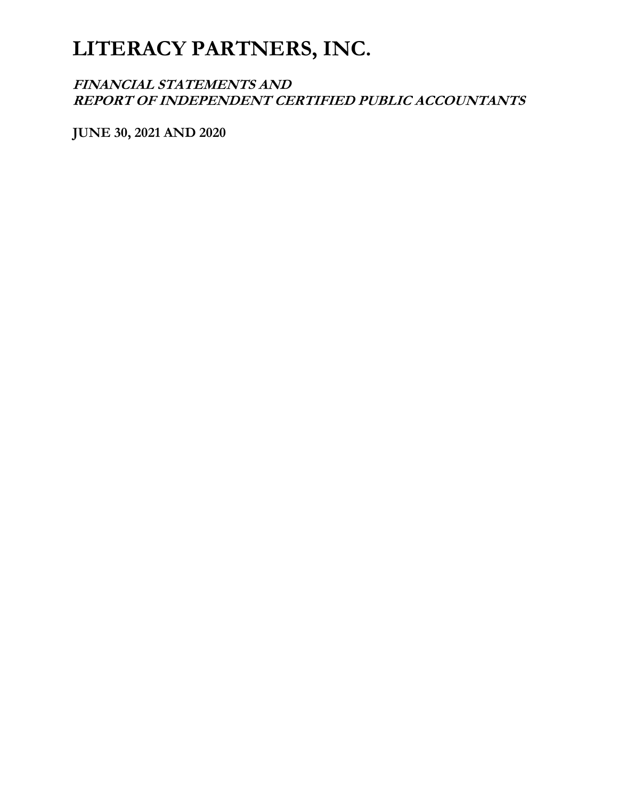## **FINANCIAL STATEMENTS AND REPORT OF INDEPENDENT CERTIFIED PUBLIC ACCOUNTANTS**

**JUNE 30, 2021 AND 2020**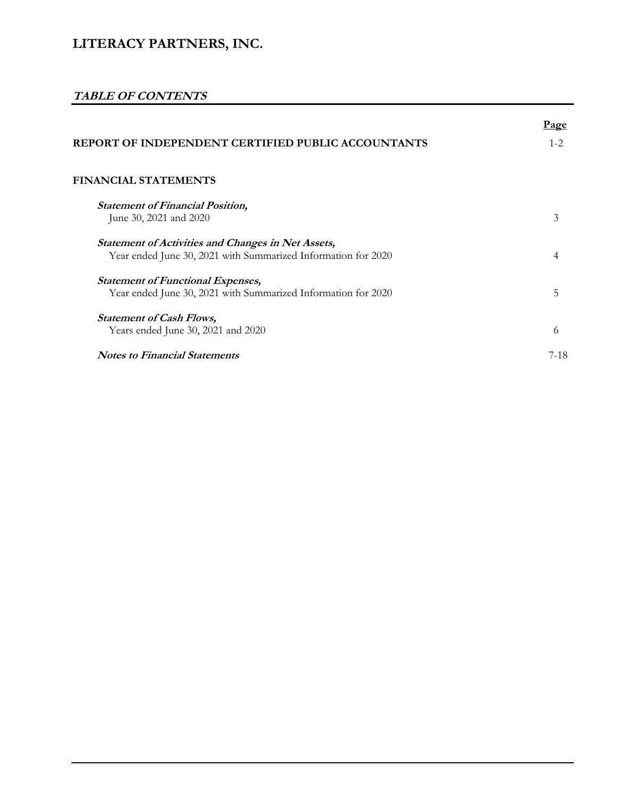## **TABLE OF CONTENTS**

|                                                               | Page    |
|---------------------------------------------------------------|---------|
| REPORT OF INDEPENDENT CERTIFIED PUBLIC ACCOUNTANTS            | $1 - 2$ |
| <b>FINANCIAL STATEMENTS</b>                                   |         |
| <b>Statement of Financial Position,</b>                       |         |
| June 30, 2021 and 2020                                        | 3       |
| <b>Statement of Activities and Changes in Net Assets,</b>     |         |
| Year ended June 30, 2021 with Summarized Information for 2020 | 4       |
| <b>Statement of Functional Expenses,</b>                      |         |
| Year ended June 30, 2021 with Summarized Information for 2020 | 5       |
| <b>Statement of Cash Flows,</b>                               |         |
| Years ended June 30, 2021 and 2020                            | 6       |
| <b>Notes to Financial Statements</b>                          | 7-18    |
|                                                               |         |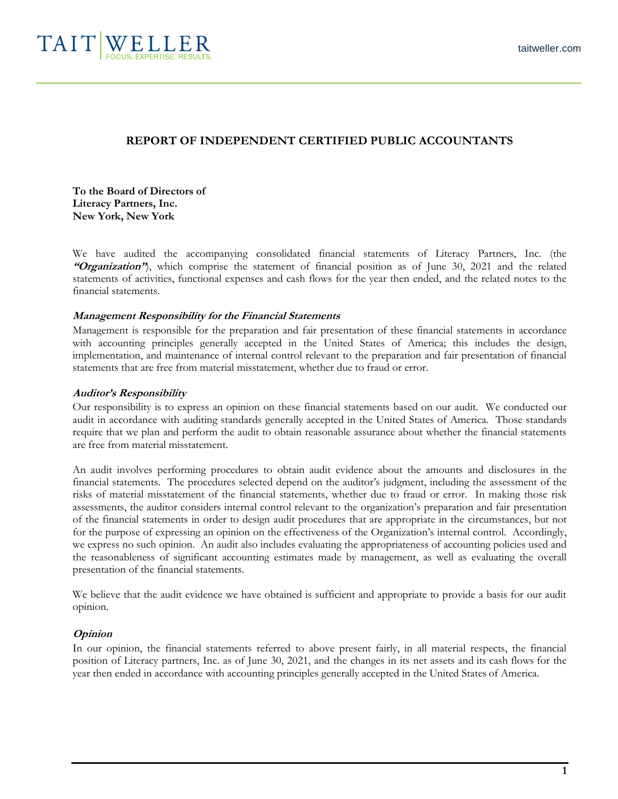

## **REPORT OF INDEPENDENT CERTIFIED PUBLIC ACCOUNTANTS**

**To the Board of Directors of Literacy Partners, Inc. New York, New York**

We have audited the accompanying consolidated financial statements of Literacy Partners, Inc. (the **"Organization"**), which comprise the statement of financial position as of June 30, 2021 and the related statements of activities, functional expenses and cash flows for the year then ended, and the related notes to the financial statements.

## **Management Responsibility for the Financial Statements**

Management is responsible for the preparation and fair presentation of these financial statements in accordance with accounting principles generally accepted in the United States of America; this includes the design, implementation, and maintenance of internal control relevant to the preparation and fair presentation of financial statements that are free from material misstatement, whether due to fraud or error.

## **Auditor's Responsibility**

Our responsibility is to express an opinion on these financial statements based on our audit. We conducted our audit in accordance with auditing standards generally accepted in the United States of America. Those standards require that we plan and perform the audit to obtain reasonable assurance about whether the financial statements are free from material misstatement.

An audit involves performing procedures to obtain audit evidence about the amounts and disclosures in the financial statements. The procedures selected depend on the auditor's judgment, including the assessment of the risks of material misstatement of the financial statements, whether due to fraud or error. In making those risk assessments, the auditor considers internal control relevant to the organization's preparation and fair presentation of the financial statements in order to design audit procedures that are appropriate in the circumstances, but not for the purpose of expressing an opinion on the effectiveness of the Organization's internal control. Accordingly, we express no such opinion. An audit also includes evaluating the appropriateness of accounting policies used and the reasonableness of significant accounting estimates made by management, as well as evaluating the overall presentation of the financial statements.

We believe that the audit evidence we have obtained is sufficient and appropriate to provide a basis for our audit opinion.

## **Opinion**

In our opinion, the financial statements referred to above present fairly, in all material respects, the financial position of Literacy partners, Inc. as of June 30, 2021, and the changes in its net assets and its cash flows for the year then ended in accordance with accounting principles generally accepted in the United States of America.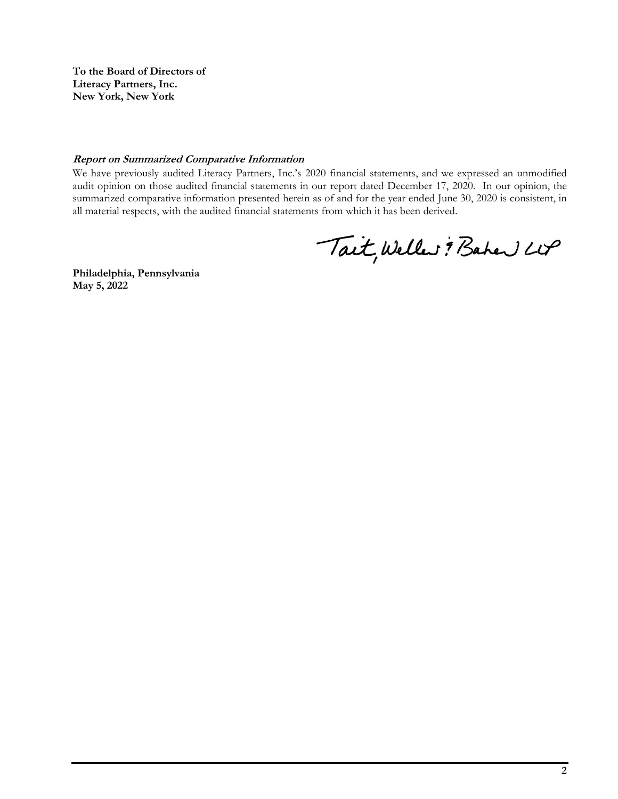**To the Board of Directors of Literacy Partners, Inc. New York, New York**

## **Report on Summarized Comparative Information**

We have previously audited Literacy Partners, Inc.'s 2020 financial statements, and we expressed an unmodified audit opinion on those audited financial statements in our report dated December 17, 2020. In our opinion, the summarized comparative information presented herein as of and for the year ended June 30, 2020 is consistent, in all material respects, with the audited financial statements from which it has been derived.

Tait, Weller : Baher LUP

**Philadelphia, Pennsylvania May 5, 2022**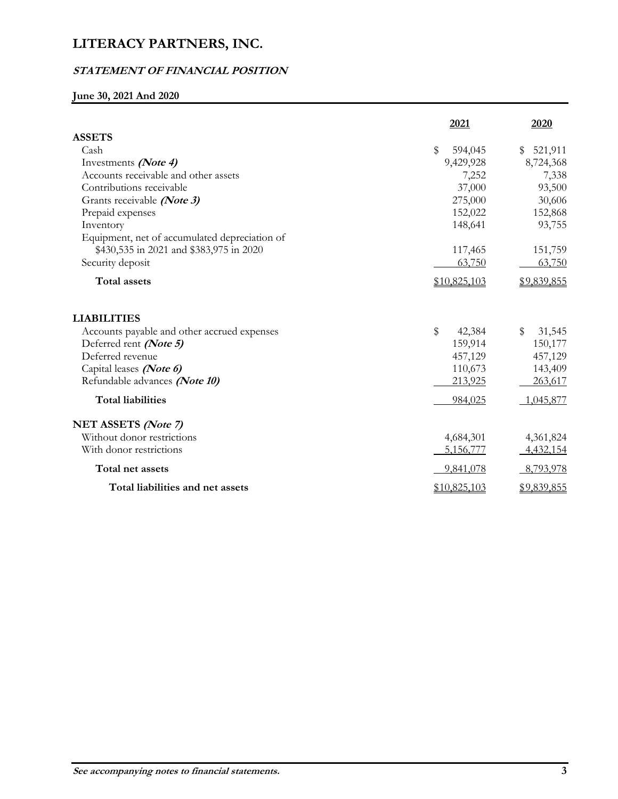## **STATEMENT OF FINANCIAL POSITION**

## **June 30, 2021 And 2020**

|                                               | 2021          | 2020                    |
|-----------------------------------------------|---------------|-------------------------|
| <b>ASSETS</b>                                 |               |                         |
| Cash                                          | \$<br>594,045 | $\mathbb{S}$<br>521,911 |
| Investments (Note 4)                          | 9,429,928     | 8,724,368               |
| Accounts receivable and other assets          | 7,252         | 7,338                   |
| Contributions receivable                      | 37,000        | 93,500                  |
| Grants receivable (Note 3)                    | 275,000       | 30,606                  |
| Prepaid expenses                              | 152,022       | 152,868                 |
| Inventory                                     | 148,641       | 93,755                  |
| Equipment, net of accumulated depreciation of |               |                         |
| \$430,535 in 2021 and \$383,975 in 2020       | 117,465       | 151,759                 |
| Security deposit                              | 63,750        | 63,750                  |
| Total assets                                  | \$10,825,103  | \$9,839,855             |
| <b>LIABILITIES</b>                            |               |                         |
| Accounts payable and other accrued expenses   | \$<br>42,384  | $\mathbb{S}$<br>31,545  |
| Deferred rent (Note 5)                        | 159,914       | 150,177                 |
| Deferred revenue                              | 457,129       | 457,129                 |
| Capital leases (Note 6)                       | 110,673       | 143,409                 |
| Refundable advances (Note 10)                 | 213,925       | 263,617                 |
| <b>Total liabilities</b>                      | 984,025       | 1,045,877               |
| NET ASSETS (Note 7)                           |               |                         |
| Without donor restrictions                    | 4,684,301     | 4,361,824               |
| With donor restrictions                       | 5,156,777     | 4,432,154               |
| Total net assets                              | 9,841,078     | 8,793,978               |
| Total liabilities and net assets              | \$10,825,103  | \$9,839,855             |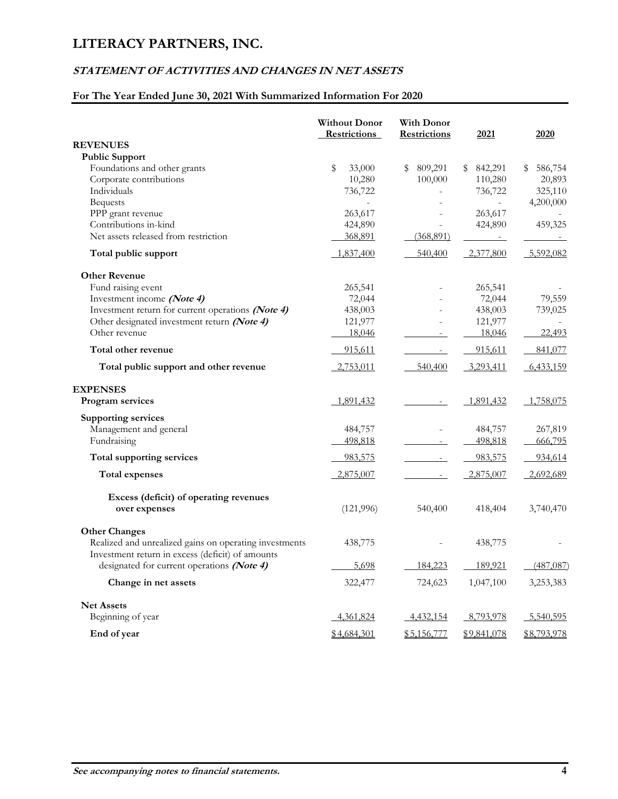## **STATEMENT OF ACTIVITIES AND CHANGES IN NET ASSETS**

## **For The Year Ended June 30, 2021 With Summarized Information For 2020**

|                                                                                                                                    | <b>Without Donor</b><br><b>Restrictions</b> | <b>With Donor</b><br><b>Restrictions</b> | 2021          | 2020          |
|------------------------------------------------------------------------------------------------------------------------------------|---------------------------------------------|------------------------------------------|---------------|---------------|
| <b>REVENUES</b>                                                                                                                    |                                             |                                          |               |               |
| <b>Public Support</b>                                                                                                              |                                             |                                          |               |               |
| Foundations and other grants                                                                                                       | \$<br>33,000                                | 809,291<br>\$                            | \$<br>842,291 | 586,754<br>\$ |
| Corporate contributions                                                                                                            | 10,280                                      | 100,000                                  | 110,280       | 20,893        |
| Individuals                                                                                                                        | 736,722                                     |                                          | 736,722       | 325,110       |
| <b>Bequests</b>                                                                                                                    |                                             |                                          |               | 4,200,000     |
| PPP grant revenue                                                                                                                  | 263,617                                     |                                          | 263,617       |               |
| Contributions in-kind                                                                                                              | 424,890                                     |                                          | 424,890       | 459,325       |
| Net assets released from restriction                                                                                               | 368,891                                     | (368,891)                                | $\sim$        |               |
| Total public support                                                                                                               | 1,837,400                                   | 540,400                                  | 2,377,800     | 5,592,082     |
| <b>Other Revenue</b>                                                                                                               |                                             |                                          |               |               |
| Fund raising event                                                                                                                 | 265,541                                     |                                          | 265,541       |               |
| Investment income (Note 4)                                                                                                         | 72,044                                      |                                          | 72,044        | 79,559        |
| Investment return for current operations (Note 4)                                                                                  | 438,003                                     |                                          | 438,003       | 739,025       |
| Other designated investment return (Note 4)                                                                                        | 121,977                                     |                                          | 121,977       |               |
| Other revenue                                                                                                                      | 18,046                                      |                                          | 18,046        | 22,493        |
| Total other revenue                                                                                                                | 915,611                                     | $\sim$                                   | 915,611       | 841,077       |
| Total public support and other revenue                                                                                             | 2,753,011                                   | 540,400                                  | 3,293,411     | 6,433,159     |
| <b>EXPENSES</b>                                                                                                                    |                                             |                                          |               |               |
| Program services                                                                                                                   | 1,891,432                                   | $\overline{\phantom{a}}$                 | 1,891,432     | 1,758,075     |
| <b>Supporting services</b>                                                                                                         |                                             |                                          |               |               |
| Management and general                                                                                                             | 484,757                                     |                                          | 484,757       | 267,819       |
| Fundraising                                                                                                                        | 498,818                                     |                                          | 498,818       | 666,795       |
| Total supporting services                                                                                                          | 983,575                                     | $\sim$                                   | 983,575       | 934,614       |
| <b>Total expenses</b>                                                                                                              | 2,875,007                                   | $\sim$                                   | 2,875,007     | 2,692,689     |
| Excess (deficit) of operating revenues<br>over expenses                                                                            | (121,996)                                   | 540,400                                  | 418,404       | 3,740,470     |
| <b>Other Changes</b><br>Realized and unrealized gains on operating investments<br>Investment return in excess (deficit) of amounts | 438,775                                     |                                          | 438,775       |               |
| designated for current operations (Note 4)                                                                                         | 5,698                                       | 184,223                                  | 189,921       | (487,087)     |
| Change in net assets                                                                                                               | 322,477                                     | 724,623                                  | 1,047,100     | 3,253,383     |
| <b>Net Assets</b>                                                                                                                  |                                             |                                          |               |               |
| Beginning of year                                                                                                                  | 4,361,824                                   | 4,432,154                                | 8,793,978     | 5,540,595     |
| End of year                                                                                                                        | \$4,684,301                                 | \$5,156,777                              | \$9,841,078   | \$8,793,978   |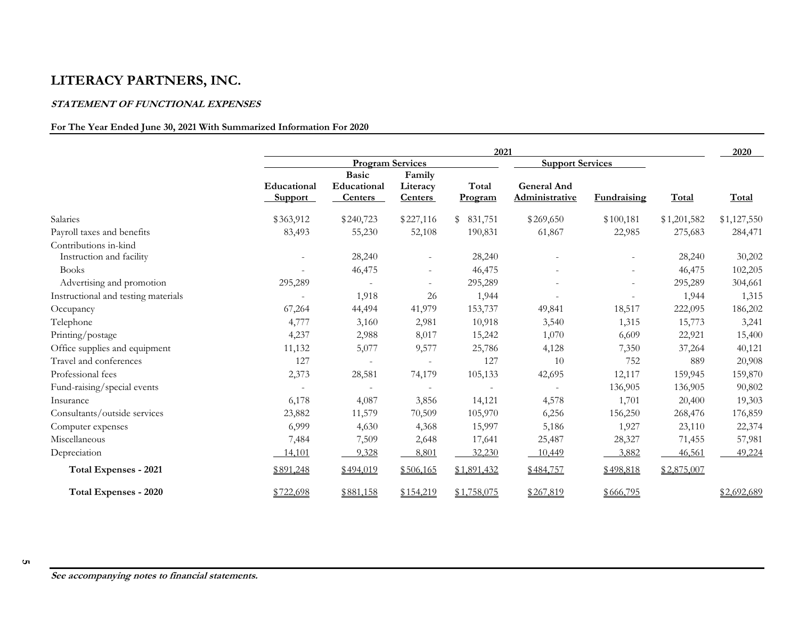## **STATEMENT OF FUNCTIONAL EXPENSES**

## **For The Year Ended June 30, 2021 With Summarized Information For 2020**

|                                                   | 2021                                               |                          |                            |                  |                                             | 2020                     |             |             |
|---------------------------------------------------|----------------------------------------------------|--------------------------|----------------------------|------------------|---------------------------------------------|--------------------------|-------------|-------------|
|                                                   | <b>Program Services</b><br><b>Support Services</b> |                          |                            |                  |                                             |                          |             |             |
|                                                   |                                                    | <b>Basic</b>             | Family                     |                  |                                             |                          |             |             |
|                                                   | Educational<br>Support                             | Educational<br>Centers   | Literacy<br><b>Centers</b> | Total<br>Program | <b>General And</b><br><b>Administrative</b> | <b>Fundraising</b>       | Total       | Total       |
| Salaries                                          | \$363,912                                          | \$240,723                | \$227,116                  | \$831,751        | \$269,650                                   | \$100,181                | \$1,201,582 | \$1,127,550 |
| Payroll taxes and benefits                        | 83,493                                             | 55,230                   | 52,108                     | 190,831          | 61,867                                      | 22,985                   | 275,683     | 284,471     |
| Contributions in-kind<br>Instruction and facility |                                                    | 28,240                   |                            | 28,240           |                                             |                          | 28,240      | 30,202      |
| <b>Books</b>                                      |                                                    | 46,475                   |                            | 46,475           |                                             |                          | 46,475      | 102,205     |
| Advertising and promotion                         | 295,289                                            |                          |                            | 295,289          |                                             |                          | 295,289     | 304,661     |
| Instructional and testing materials               |                                                    | 1,918                    | 26                         | 1,944            |                                             | $\overline{\phantom{a}}$ | 1,944       | 1,315       |
| Occupancy                                         | 67,264                                             | 44,494                   | 41,979                     | 153,737          | 49,841                                      | 18,517                   | 222,095     | 186,202     |
| Telephone                                         | 4,777                                              | 3,160                    | 2,981                      | 10,918           | 3,540                                       | 1,315                    | 15,773      | 3,241       |
| Printing/postage                                  | 4,237                                              | 2,988                    | 8,017                      | 15,242           | 1,070                                       | 6,609                    | 22,921      | 15,400      |
| Office supplies and equipment                     | 11,132                                             | 5,077                    | 9,577                      | 25,786           | 4,128                                       | 7,350                    | 37,264      | 40,121      |
| Travel and conferences                            | 127                                                |                          |                            | 127              | 10                                          | 752                      | 889         | 20,908      |
| Professional fees                                 | 2,373                                              | 28,581                   | 74,179                     | 105,133          | 42,695                                      | 12,117                   | 159,945     | 159,870     |
| Fund-raising/special events                       |                                                    | $\overline{\phantom{a}}$ | $\sim$                     | $\sim$           |                                             | 136,905                  | 136,905     | 90,802      |
| Insurance                                         | 6,178                                              | 4,087                    | 3,856                      | 14,121           | 4,578                                       | 1,701                    | 20,400      | 19,303      |
| Consultants/outside services                      | 23,882                                             | 11,579                   | 70,509                     | 105,970          | 6,256                                       | 156,250                  | 268,476     | 176,859     |
| Computer expenses                                 | 6,999                                              | 4,630                    | 4,368                      | 15,997           | 5,186                                       | 1,927                    | 23,110      | 22,374      |
| Miscellaneous                                     | 7,484                                              | 7,509                    | 2,648                      | 17,641           | 25,487                                      | 28,327                   | 71,455      | 57,981      |
| Depreciation                                      | 14,101                                             | 9,328                    | 8,801                      | 32,230           | 10,449                                      | 3,882                    | 46,561      | 49,224      |
| Total Expenses - 2021                             | \$891.248                                          | \$494,019                | \$506,165                  | \$1,891,432      | \$484,757                                   | \$498,818                | \$2,875,007 |             |
| <b>Total Expenses - 2020</b>                      | \$722,698                                          | \$881,158                | \$154,219                  | \$1,758,075      | \$267,819                                   | \$666,795                |             | \$2,692,689 |

**See accompanying notes to financial statements.**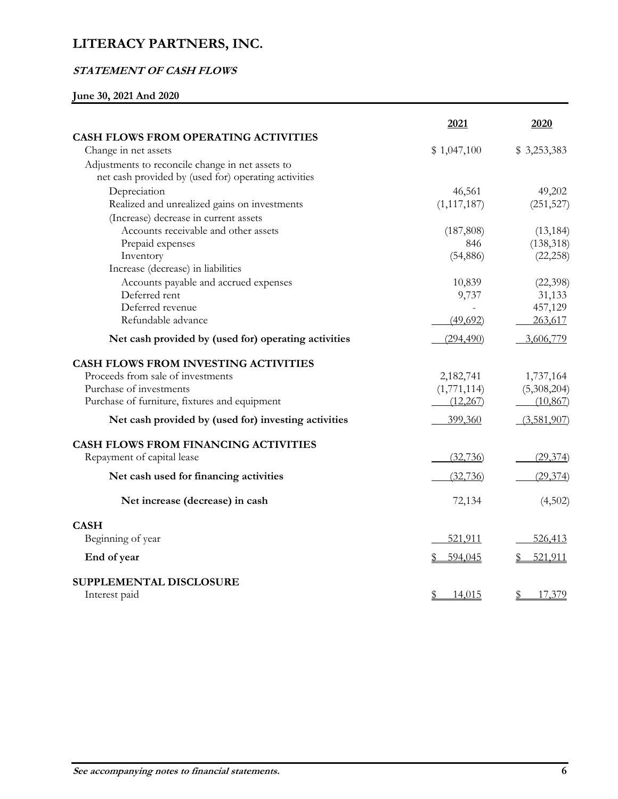## **STATEMENT OF CASH FLOWS**

## **June 30, 2021 And 2020**

|                                                      | 2021          | 2020         |
|------------------------------------------------------|---------------|--------------|
| CASH FLOWS FROM OPERATING ACTIVITIES                 |               |              |
| Change in net assets                                 | \$1,047,100   | \$3,253,383  |
| Adjustments to reconcile change in net assets to     |               |              |
| net cash provided by (used for) operating activities |               |              |
| Depreciation                                         | 46,561        | 49,202       |
| Realized and unrealized gains on investments         | (1, 117, 187) | (251, 527)   |
| (Increase) decrease in current assets                |               |              |
| Accounts receivable and other assets                 | (187, 808)    | (13, 184)    |
| Prepaid expenses                                     | 846           | (138, 318)   |
| Inventory                                            | (54, 886)     | (22, 258)    |
| Increase (decrease) in liabilities                   |               |              |
| Accounts payable and accrued expenses                | 10,839        | (22, 398)    |
| Deferred rent                                        | 9,737         | 31,133       |
| Deferred revenue                                     |               | 457,129      |
| Refundable advance                                   | (49,692)      | 263,617      |
| Net cash provided by (used for) operating activities | (294, 490)    | 3,606,779    |
| CASH FLOWS FROM INVESTING ACTIVITIES                 |               |              |
| Proceeds from sale of investments                    | 2,182,741     | 1,737,164    |
| Purchase of investments                              | (1,771,114)   | (5,308,204)  |
| Purchase of furniture, fixtures and equipment        | (12, 267)     | (10, 867)    |
| Net cash provided by (used for) investing activities | 399,360       | (3,581,907)  |
| CASH FLOWS FROM FINANCING ACTIVITIES                 |               |              |
| Repayment of capital lease                           | (32, 736)     | (29, 374)    |
| Net cash used for financing activities               | (32, 736)     | (29, 374)    |
| Net increase (decrease) in cash                      | 72,134        | (4,502)      |
| <b>CASH</b>                                          |               |              |
| Beginning of year                                    | 521,911       | 526,413      |
| End of year                                          | 594,045       | 521,911      |
| SUPPLEMENTAL DISCLOSURE                              |               |              |
| Interest paid                                        | 14,015<br>S   | 17,379<br>\$ |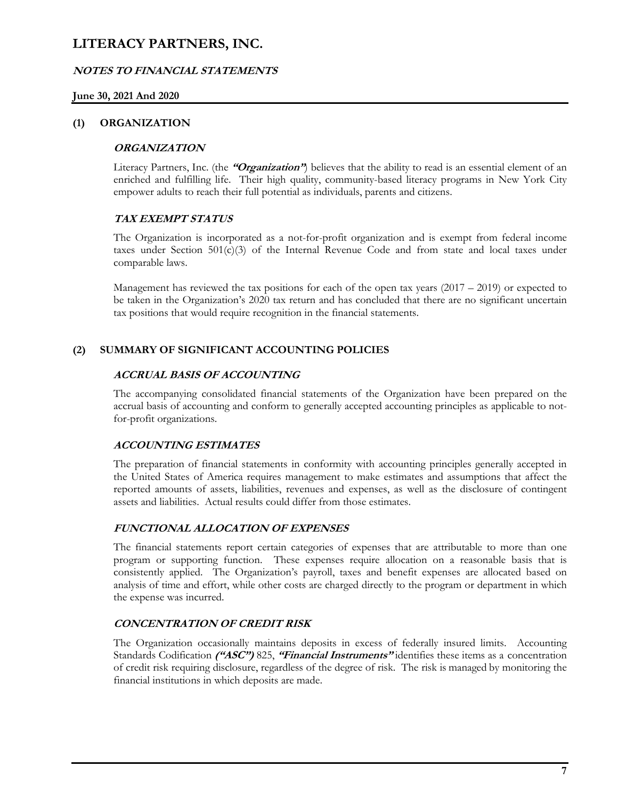## **NOTES TO FINANCIAL STATEMENTS**

**June 30, 2021 And 2020**

#### **(1) ORGANIZATION**

#### **ORGANIZATION**

Literacy Partners, Inc. (the **"Organization"**) believes that the ability to read is an essential element of an enriched and fulfilling life. Their high quality, community-based literacy programs in New York City empower adults to reach their full potential as individuals, parents and citizens.

## **TAX EXEMPT STATUS**

The Organization is incorporated as a not-for-profit organization and is exempt from federal income taxes under Section 501(c)(3) of the Internal Revenue Code and from state and local taxes under comparable laws.

Management has reviewed the tax positions for each of the open tax years (2017 – 2019) or expected to be taken in the Organization's 2020 tax return and has concluded that there are no significant uncertain tax positions that would require recognition in the financial statements.

## **(2) SUMMARY OF SIGNIFICANT ACCOUNTING POLICIES**

## **ACCRUAL BASIS OF ACCOUNTING**

The accompanying consolidated financial statements of the Organization have been prepared on the accrual basis of accounting and conform to generally accepted accounting principles as applicable to notfor-profit organizations.

## **ACCOUNTING ESTIMATES**

The preparation of financial statements in conformity with accounting principles generally accepted in the United States of America requires management to make estimates and assumptions that affect the reported amounts of assets, liabilities, revenues and expenses, as well as the disclosure of contingent assets and liabilities. Actual results could differ from those estimates.

## **FUNCTIONAL ALLOCATION OF EXPENSES**

The financial statements report certain categories of expenses that are attributable to more than one program or supporting function. These expenses require allocation on a reasonable basis that is consistently applied. The Organization's payroll, taxes and benefit expenses are allocated based on analysis of time and effort, while other costs are charged directly to the program or department in which the expense was incurred.

## **CONCENTRATION OF CREDIT RISK**

The Organization occasionally maintains deposits in excess of federally insured limits. Accounting Standards Codification **("ASC")** 825, **"Financial Instruments"** identifies these items as a concentration of credit risk requiring disclosure, regardless of the degree of risk. The risk is managed by monitoring the financial institutions in which deposits are made.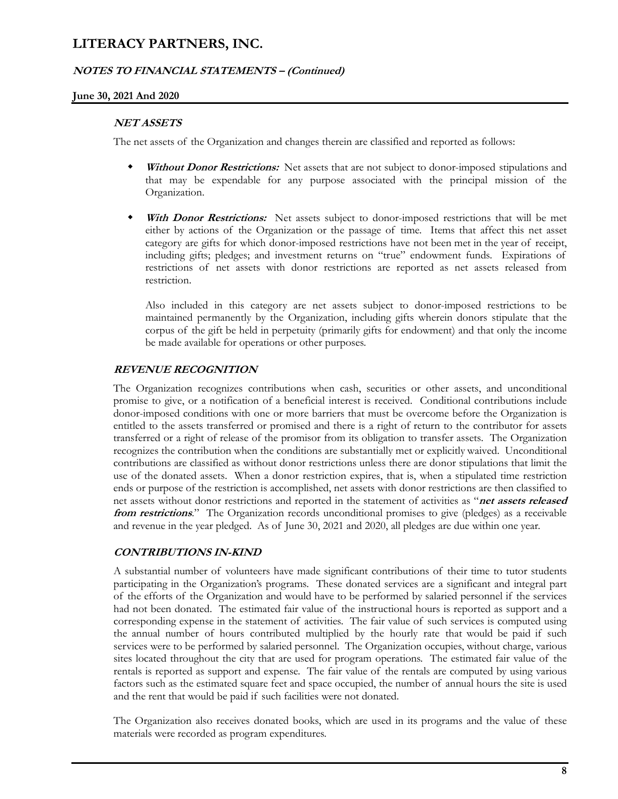## **NOTES TO FINANCIAL STATEMENTS – (Continued)**

**June 30, 2021 And 2020**

## **NET ASSETS**

The net assets of the Organization and changes therein are classified and reported as follows:

- **Without Donor Restrictions:** Net assets that are not subject to donor-imposed stipulations and that may be expendable for any purpose associated with the principal mission of the Organization.
- **With Donor Restrictions:** Net assets subject to donor-imposed restrictions that will be met either by actions of the Organization or the passage of time. Items that affect this net asset category are gifts for which donor-imposed restrictions have not been met in the year of receipt, including gifts; pledges; and investment returns on "true" endowment funds. Expirations of restrictions of net assets with donor restrictions are reported as net assets released from restriction.

Also included in this category are net assets subject to donor-imposed restrictions to be maintained permanently by the Organization, including gifts wherein donors stipulate that the corpus of the gift be held in perpetuity (primarily gifts for endowment) and that only the income be made available for operations or other purposes.

## **REVENUE RECOGNITION**

The Organization recognizes contributions when cash, securities or other assets, and unconditional promise to give, or a notification of a beneficial interest is received. Conditional contributions include donor-imposed conditions with one or more barriers that must be overcome before the Organization is entitled to the assets transferred or promised and there is a right of return to the contributor for assets transferred or a right of release of the promisor from its obligation to transfer assets. The Organization recognizes the contribution when the conditions are substantially met or explicitly waived. Unconditional contributions are classified as without donor restrictions unless there are donor stipulations that limit the use of the donated assets. When a donor restriction expires, that is, when a stipulated time restriction ends or purpose of the restriction is accomplished, net assets with donor restrictions are then classified to net assets without donor restrictions and reported in the statement of activities as "**net assets released from restrictions.**" The Organization records unconditional promises to give (pledges) as a receivable and revenue in the year pledged. As of June 30, 2021 and 2020, all pledges are due within one year.

## **CONTRIBUTIONS IN-KIND**

A substantial number of volunteers have made significant contributions of their time to tutor students participating in the Organization's programs. These donated services are a significant and integral part of the efforts of the Organization and would have to be performed by salaried personnel if the services had not been donated. The estimated fair value of the instructional hours is reported as support and a corresponding expense in the statement of activities. The fair value of such services is computed using the annual number of hours contributed multiplied by the hourly rate that would be paid if such services were to be performed by salaried personnel. The Organization occupies, without charge, various sites located throughout the city that are used for program operations. The estimated fair value of the rentals is reported as support and expense. The fair value of the rentals are computed by using various factors such as the estimated square feet and space occupied, the number of annual hours the site is used and the rent that would be paid if such facilities were not donated.

The Organization also receives donated books, which are used in its programs and the value of these materials were recorded as program expenditures.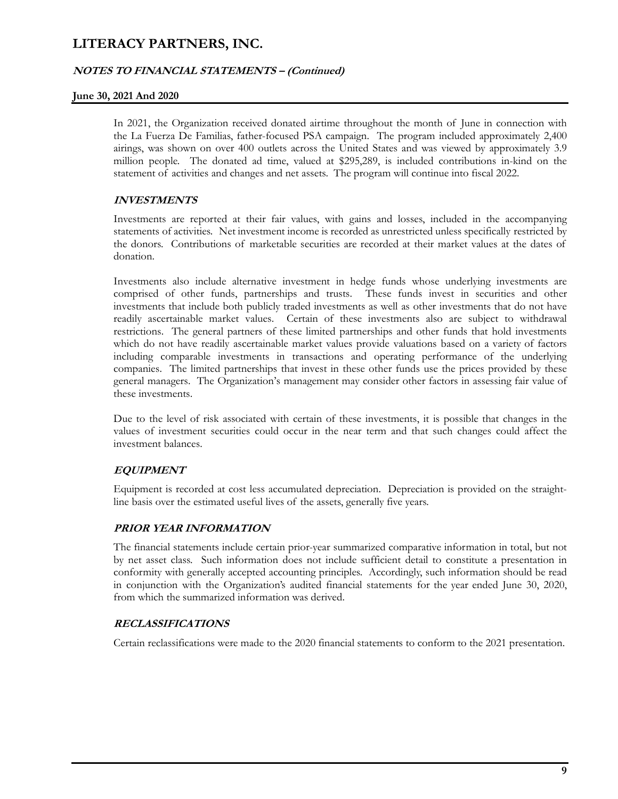## **NOTES TO FINANCIAL STATEMENTS – (Continued)**

## **June 30, 2021 And 2020**

In 2021, the Organization received donated airtime throughout the month of June in connection with the La Fuerza De Familias, father-focused PSA campaign. The program included approximately 2,400 airings, was shown on over 400 outlets across the United States and was viewed by approximately 3.9 million people. The donated ad time, valued at \$295,289, is included contributions in-kind on the statement of activities and changes and net assets. The program will continue into fiscal 2022.

## **INVESTMENTS**

Investments are reported at their fair values, with gains and losses, included in the accompanying statements of activities. Net investment income is recorded as unrestricted unless specifically restricted by the donors. Contributions of marketable securities are recorded at their market values at the dates of donation.

Investments also include alternative investment in hedge funds whose underlying investments are comprised of other funds, partnerships and trusts. These funds invest in securities and other investments that include both publicly traded investments as well as other investments that do not have readily ascertainable market values. Certain of these investments also are subject to withdrawal restrictions. The general partners of these limited partnerships and other funds that hold investments which do not have readily ascertainable market values provide valuations based on a variety of factors including comparable investments in transactions and operating performance of the underlying companies. The limited partnerships that invest in these other funds use the prices provided by these general managers. The Organization's management may consider other factors in assessing fair value of these investments.

Due to the level of risk associated with certain of these investments, it is possible that changes in the values of investment securities could occur in the near term and that such changes could affect the investment balances.

## **EQUIPMENT**

Equipment is recorded at cost less accumulated depreciation. Depreciation is provided on the straightline basis over the estimated useful lives of the assets, generally five years.

## **PRIOR YEAR INFORMATION**

The financial statements include certain prior-year summarized comparative information in total, but not by net asset class. Such information does not include sufficient detail to constitute a presentation in conformity with generally accepted accounting principles. Accordingly, such information should be read in conjunction with the Organization's audited financial statements for the year ended June 30, 2020, from which the summarized information was derived.

## **RECLASSIFICATIONS**

Certain reclassifications were made to the 2020 financial statements to conform to the 2021 presentation.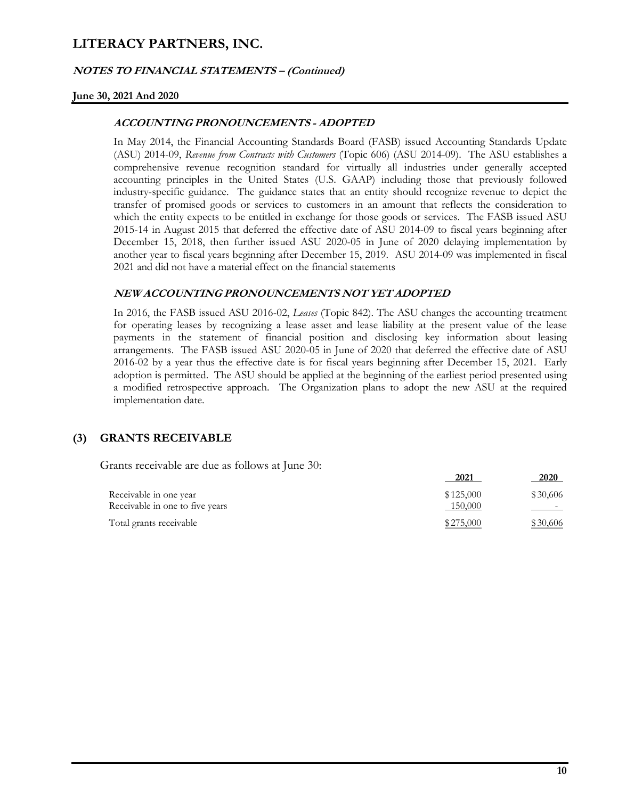## **NOTES TO FINANCIAL STATEMENTS – (Continued)**

#### **June 30, 2021 And 2020**

## **ACCOUNTING PRONOUNCEMENTS - ADOPTED**

In May 2014, the Financial Accounting Standards Board (FASB) issued Accounting Standards Update (ASU) 2014-09, *Revenue from Contracts with Customers* (Topic 606) (ASU 2014-09). The ASU establishes a comprehensive revenue recognition standard for virtually all industries under generally accepted accounting principles in the United States (U.S. GAAP) including those that previously followed industry-specific guidance. The guidance states that an entity should recognize revenue to depict the transfer of promised goods or services to customers in an amount that reflects the consideration to which the entity expects to be entitled in exchange for those goods or services. The FASB issued ASU 2015-14 in August 2015 that deferred the effective date of ASU 2014-09 to fiscal years beginning after December 15, 2018, then further issued ASU 2020-05 in June of 2020 delaying implementation by another year to fiscal years beginning after December 15, 2019. ASU 2014-09 was implemented in fiscal 2021 and did not have a material effect on the financial statements

## **NEW ACCOUNTING PRONOUNCEMENTS NOT YET ADOPTED**

In 2016, the FASB issued ASU 2016-02, *Leases* (Topic 842). The ASU changes the accounting treatment for operating leases by recognizing a lease asset and lease liability at the present value of the lease payments in the statement of financial position and disclosing key information about leasing arrangements. The FASB issued ASU 2020-05 in June of 2020 that deferred the effective date of ASU 2016-02 by a year thus the effective date is for fiscal years beginning after December 15, 2021. Early adoption is permitted. The ASU should be applied at the beginning of the earliest period presented using a modified retrospective approach. The Organization plans to adopt the new ASU at the required implementation date.

## **(3) GRANTS RECEIVABLE**

Grants receivable are due as follows at June 30:

|                                 | 2021      | 2020     |
|---------------------------------|-----------|----------|
| Receivable in one year          | \$125,000 | \$30,606 |
| Receivable in one to five years | 150,000   |          |
| Total grants receivable         | \$275,000 | \$30,606 |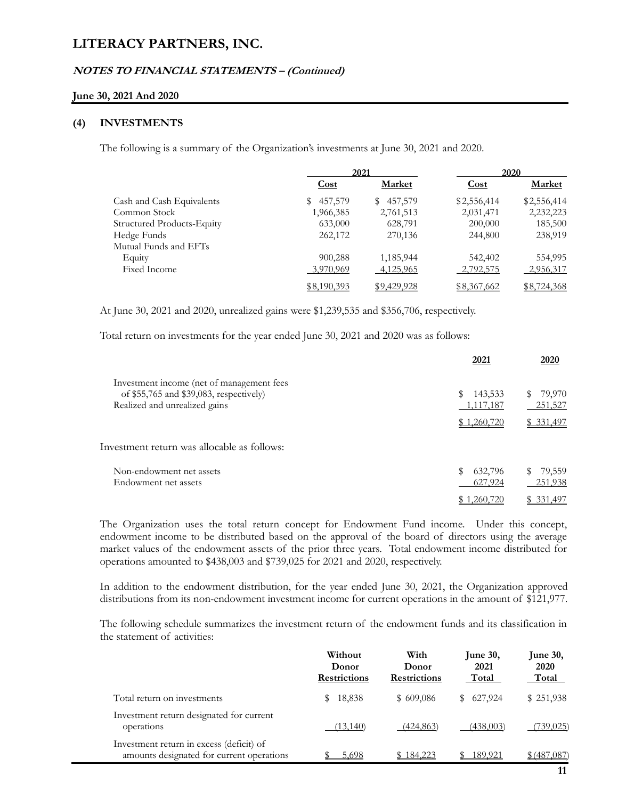## **NOTES TO FINANCIAL STATEMENTS – (Continued)**

**June 30, 2021 And 2020**

## **(4) INVESTMENTS**

The following is a summary of the Organization's investments at June 30, 2021 and 2020.

|                            |             | 2021          |             | 2020        |
|----------------------------|-------------|---------------|-------------|-------------|
|                            | Cost        | Market        | <b>Cost</b> | Market      |
| Cash and Cash Equivalents  | 457,579     | 457,579<br>\$ | \$2,556,414 | \$2,556,414 |
| Common Stock               | 1,966,385   | 2,761,513     | 2,031,471   | 2,232,223   |
| Structured Products-Equity | 633,000     | 628,791       | 200,000     | 185,500     |
| Hedge Funds                | 262,172     | 270,136       | 244,800     | 238,919     |
| Mutual Funds and EFTs      |             |               |             |             |
| Equity                     | 900,288     | 1,185,944     | 542,402     | 554,995     |
| Fixed Income               | 3.970,969   | 4,125,965     | 2,792,575   | 2,956,317   |
|                            | \$8.190.393 | \$9,429,928   | \$8.367.662 | \$8.724.368 |

At June 30, 2021 and 2020, unrealized gains were \$1,239,535 and \$356,706, respectively.

Total return on investments for the year ended June 30, 2021 and 2020 was as follows:

|                                             | 2021          | 2020        |
|---------------------------------------------|---------------|-------------|
| Investment income (net of management fees   |               |             |
| of \$55,765 and \$39,083, respectively)     | \$<br>143,533 | 79,970<br>S |
| Realized and unrealized gains               | 1.117.187     | 251,527     |
|                                             | -260.720      | 331.497     |
| Investment return was allocable as follows: |               |             |
| Non-endowment net assets                    | \$<br>632,796 | 79,559<br>S |
| Endowment net assets                        | 627,924       | 251,938     |
|                                             | 1,260,720     | \$ 331,497  |

The Organization uses the total return concept for Endowment Fund income. Under this concept, endowment income to be distributed based on the approval of the board of directors using the average market values of the endowment assets of the prior three years. Total endowment income distributed for operations amounted to \$438,003 and \$739,025 for 2021 and 2020, respectively.

In addition to the endowment distribution, for the year ended June 30, 2021, the Organization approved distributions from its non-endowment investment income for current operations in the amount of \$121,977.

The following schedule summarizes the investment return of the endowment funds and its classification in the statement of activities:

|                                                                                       | Without<br>Donor<br><b>Restrictions</b> | With<br>Donor<br><b>Restrictions</b> | June 30,<br>2021<br>Total | June 30,<br>2020<br>Total |
|---------------------------------------------------------------------------------------|-----------------------------------------|--------------------------------------|---------------------------|---------------------------|
| Total return on investments                                                           | 18,838<br>\$                            | \$609,086                            | \$627,924                 | \$251,938                 |
| Investment return designated for current<br>operations                                | (13, 140)                               | (424, 863)                           | (438,003)                 | 739,025)                  |
| Investment return in excess (deficit) of<br>amounts designated for current operations | 5.698                                   | .84.223                              | 189.921                   | \$ (487.087               |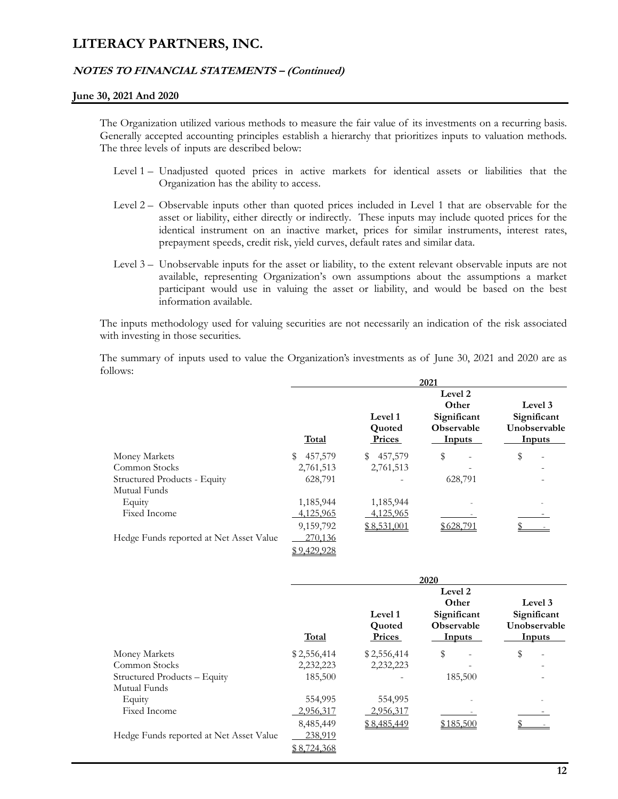## **NOTES TO FINANCIAL STATEMENTS – (Continued)**

## **June 30, 2021 And 2020**

The Organization utilized various methods to measure the fair value of its investments on a recurring basis. Generally accepted accounting principles establish a hierarchy that prioritizes inputs to valuation methods. The three levels of inputs are described below:

- Level 1 Unadjusted quoted prices in active markets for identical assets or liabilities that the Organization has the ability to access.
- Level 2 Observable inputs other than quoted prices included in Level 1 that are observable for the asset or liability, either directly or indirectly. These inputs may include quoted prices for the identical instrument on an inactive market, prices for similar instruments, interest rates, prepayment speeds, credit risk, yield curves, default rates and similar data.
- Level 3 Unobservable inputs for the asset or liability, to the extent relevant observable inputs are not available, representing Organization's own assumptions about the assumptions a market participant would use in valuing the asset or liability, and would be based on the best information available.

The inputs methodology used for valuing securities are not necessarily an indication of the risk associated with investing in those securities.

The summary of inputs used to value the Organization's investments as of June 30, 2021 and 2020 are as follows:

|                                         |                      |                                    | 2021                                                    |                                                         |
|-----------------------------------------|----------------------|------------------------------------|---------------------------------------------------------|---------------------------------------------------------|
|                                         | Total                | Level 1<br><b>Quoted</b><br>Prices | Level 2<br>Other<br>Significant<br>Observable<br>Inputs | Level 3<br>Significant<br>Unobservable<br><u>Inputs</u> |
| Money Markets                           | 457,579              | 457,579<br>S.                      | \$                                                      | \$                                                      |
| Common Stocks                           | 2,761,513            | 2,761,513                          |                                                         |                                                         |
| Structured Products - Equity            | 628,791              |                                    | 628,791                                                 |                                                         |
| Mutual Funds                            |                      |                                    |                                                         |                                                         |
| Equity                                  | 1,185,944            | 1,185,944                          |                                                         |                                                         |
| Fixed Income                            | 4,125,965            | 4,125,965                          |                                                         |                                                         |
| Hedge Funds reported at Net Asset Value | 9,159,792<br>270,136 | \$8,531,001                        | \$628.791                                               |                                                         |
|                                         | \$9,429,928          |                                    |                                                         |                                                         |

|                                         |                                     |                                    | 2020                                                           |                                                  |
|-----------------------------------------|-------------------------------------|------------------------------------|----------------------------------------------------------------|--------------------------------------------------|
|                                         | Total                               | Level 1<br><b>Quoted</b><br>Prices | Level 2<br>Other<br>Significant<br><b>Observable</b><br>Inputs | Level 3<br>Significant<br>Unobservable<br>Inputs |
| Money Markets                           | \$2,556,414                         | \$2,556,414                        | \$                                                             | \$                                               |
| Common Stocks                           | 2,232,223                           | 2,232,223                          |                                                                |                                                  |
| Structured Products - Equity            | 185,500                             |                                    | 185,500                                                        |                                                  |
| Mutual Funds                            |                                     |                                    |                                                                |                                                  |
| Equity                                  | 554,995                             | 554,995                            |                                                                |                                                  |
| Fixed Income                            | 2,956,317                           | 2,956,317                          |                                                                |                                                  |
| Hedge Funds reported at Net Asset Value | 8,485,449<br>238,919<br>\$8,724,368 | \$8,485,449                        | \$185,500                                                      |                                                  |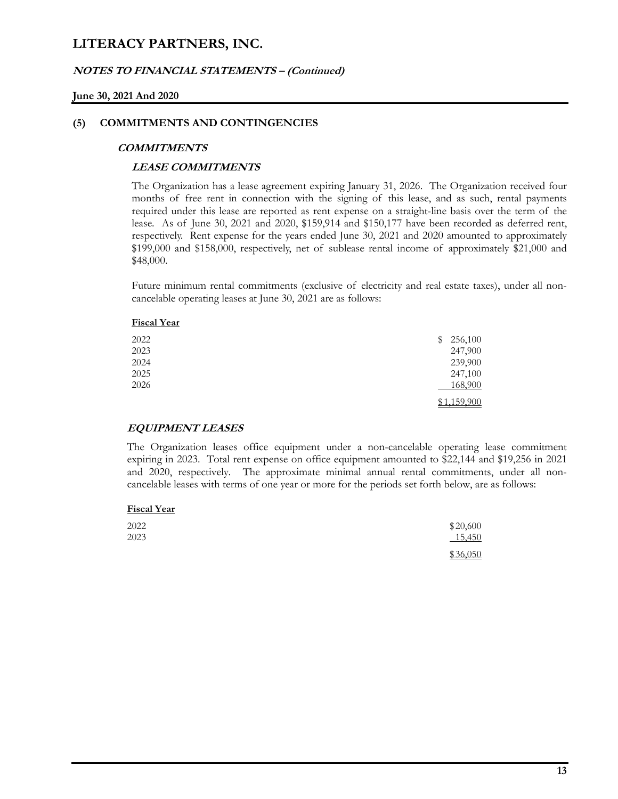## **NOTES TO FINANCIAL STATEMENTS – (Continued)**

#### **June 30, 2021 And 2020**

#### **(5) COMMITMENTS AND CONTINGENCIES**

#### **COMMITMENTS**

## **LEASE COMMITMENTS**

The Organization has a lease agreement expiring January 31, 2026. The Organization received four months of free rent in connection with the signing of this lease, and as such, rental payments required under this lease are reported as rent expense on a straight-line basis over the term of the lease. As of June 30, 2021 and 2020, \$159,914 and \$150,177 have been recorded as deferred rent, respectively. Rent expense for the years ended June 30, 2021 and 2020 amounted to approximately \$199,000 and \$158,000, respectively, net of sublease rental income of approximately \$21,000 and \$48,000.

Future minimum rental commitments (exclusive of electricity and real estate taxes), under all noncancelable operating leases at June 30, 2021 are as follows:

#### **Fiscal Year**

| 2022 | \$256,100 |
|------|-----------|
| 2023 | 247,900   |
| 2024 | 239,900   |
| 2025 | 247,100   |
| 2026 | 168,900   |
|      | \$1159900 |

#### **EQUIPMENT LEASES**

The Organization leases office equipment under a non-cancelable operating lease commitment expiring in 2023. Total rent expense on office equipment amounted to \$22,144 and \$19,256 in 2021 and 2020, respectively. The approximate minimal annual rental commitments, under all noncancelable leases with terms of one year or more for the periods set forth below, are as follows:

#### **Fiscal Year**

| 2022<br>2023 | \$20,600           |
|--------------|--------------------|
|              | 15,450<br>\$36,050 |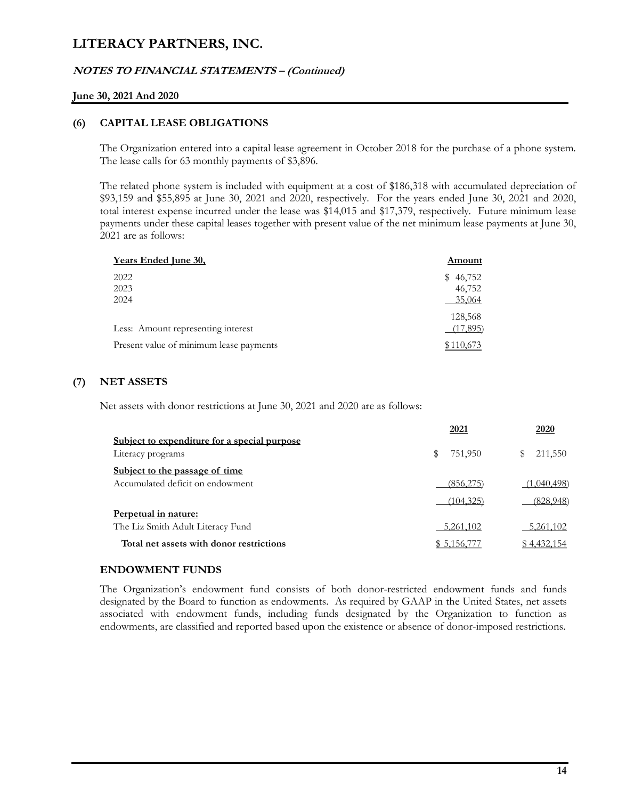## **NOTES TO FINANCIAL STATEMENTS – (Continued)**

#### **June 30, 2021 And 2020**

## **(6) CAPITAL LEASE OBLIGATIONS**

The Organization entered into a capital lease agreement in October 2018 for the purchase of a phone system. The lease calls for 63 monthly payments of \$3,896.

The related phone system is included with equipment at a cost of \$186,318 with accumulated depreciation of \$93,159 and \$55,895 at June 30, 2021 and 2020, respectively. For the years ended June 30, 2021 and 2020, total interest expense incurred under the lease was \$14,015 and \$17,379, respectively. Future minimum lease payments under these capital leases together with present value of the net minimum lease payments at June 30, 2021 are as follows:

| <u>Years Ended June 30,</u>             | <b>Amount</b> |
|-----------------------------------------|---------------|
| 2022                                    | \$46,752      |
| 2023                                    | 46,752        |
| 2024                                    | 35,064        |
|                                         | 128,568       |
| Less: Amount representing interest      | (17,895)      |
| Present value of minimum lease payments | \$110.673     |

## **(7) NET ASSETS**

Net assets with donor restrictions at June 30, 2021 and 2020 are as follows:

|                                              |   | 2021       | 2020        |
|----------------------------------------------|---|------------|-------------|
| Subject to expenditure for a special purpose |   |            |             |
| Literacy programs                            | S | 751,950    | 211,550     |
| Subject to the passage of time               |   |            |             |
| Accumulated deficit on endowment             |   | (856, 275) | (1,040,498) |
|                                              |   | (104, 325) | (828, 948)  |
| Perpetual in nature:                         |   |            |             |
| The Liz Smith Adult Literacy Fund            |   | 5,261,102  | 5,261,102   |
| Total net assets with donor restrictions     |   | \$5156     | \$4.432.154 |

#### **ENDOWMENT FUNDS**

The Organization's endowment fund consists of both donor-restricted endowment funds and funds designated by the Board to function as endowments. As required by GAAP in the United States, net assets associated with endowment funds, including funds designated by the Organization to function as endowments, are classified and reported based upon the existence or absence of donor-imposed restrictions.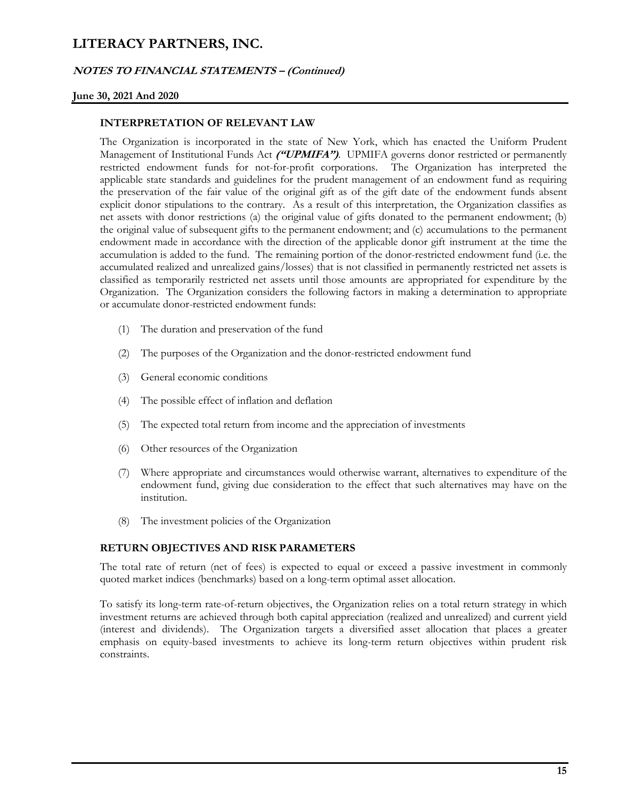## **NOTES TO FINANCIAL STATEMENTS – (Continued)**

#### **June 30, 2021 And 2020**

#### **INTERPRETATION OF RELEVANT LAW**

The Organization is incorporated in the state of New York, which has enacted the Uniform Prudent Management of Institutional Funds Act **("UPMIFA")**. UPMIFA governs donor restricted or permanently restricted endowment funds for not-for-profit corporations. The Organization has interpreted the applicable state standards and guidelines for the prudent management of an endowment fund as requiring the preservation of the fair value of the original gift as of the gift date of the endowment funds absent explicit donor stipulations to the contrary. As a result of this interpretation, the Organization classifies as net assets with donor restrictions (a) the original value of gifts donated to the permanent endowment; (b) the original value of subsequent gifts to the permanent endowment; and (c) accumulations to the permanent endowment made in accordance with the direction of the applicable donor gift instrument at the time the accumulation is added to the fund. The remaining portion of the donor-restricted endowment fund (i.e. the accumulated realized and unrealized gains/losses) that is not classified in permanently restricted net assets is classified as temporarily restricted net assets until those amounts are appropriated for expenditure by the Organization. The Organization considers the following factors in making a determination to appropriate or accumulate donor-restricted endowment funds:

- (1) The duration and preservation of the fund
- (2) The purposes of the Organization and the donor-restricted endowment fund
- (3) General economic conditions
- (4) The possible effect of inflation and deflation
- (5) The expected total return from income and the appreciation of investments
- (6) Other resources of the Organization
- (7) Where appropriate and circumstances would otherwise warrant, alternatives to expenditure of the endowment fund, giving due consideration to the effect that such alternatives may have on the institution.
- (8) The investment policies of the Organization

## **RETURN OBJECTIVES AND RISK PARAMETERS**

The total rate of return (net of fees) is expected to equal or exceed a passive investment in commonly quoted market indices (benchmarks) based on a long-term optimal asset allocation.

To satisfy its long-term rate-of-return objectives, the Organization relies on a total return strategy in which investment returns are achieved through both capital appreciation (realized and unrealized) and current yield (interest and dividends). The Organization targets a diversified asset allocation that places a greater emphasis on equity-based investments to achieve its long-term return objectives within prudent risk constraints.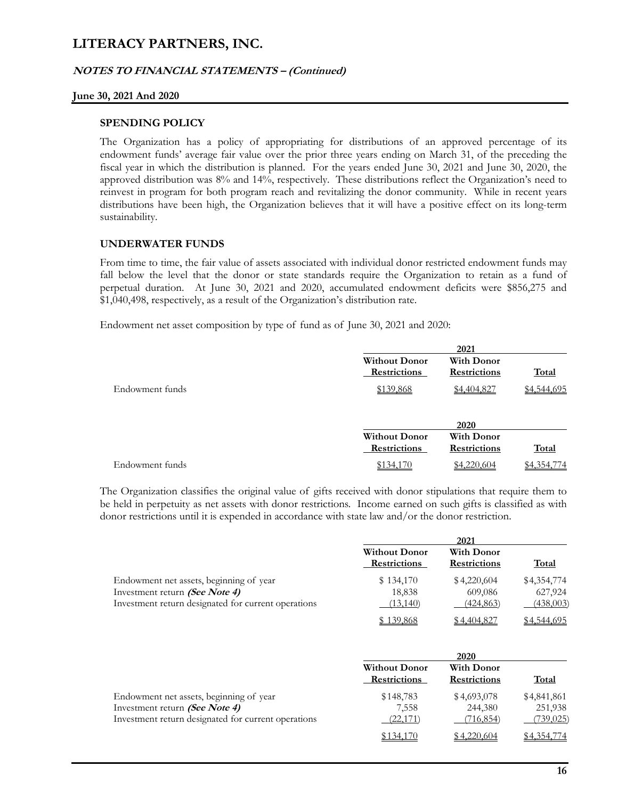## **NOTES TO FINANCIAL STATEMENTS – (Continued)**

#### **June 30, 2021 And 2020**

#### **SPENDING POLICY**

The Organization has a policy of appropriating for distributions of an approved percentage of its endowment funds' average fair value over the prior three years ending on March 31, of the preceding the fiscal year in which the distribution is planned. For the years ended June 30, 2021 and June 30, 2020, the approved distribution was 8% and 14%, respectively. These distributions reflect the Organization's need to reinvest in program for both program reach and revitalizing the donor community. While in recent years distributions have been high, the Organization believes that it will have a positive effect on its long-term sustainability.

## **UNDERWATER FUNDS**

From time to time, the fair value of assets associated with individual donor restricted endowment funds may fall below the level that the donor or state standards require the Organization to retain as a fund of perpetual duration. At June 30, 2021 and 2020, accumulated endowment deficits were \$856,275 and \$1,040,498, respectively, as a result of the Organization's distribution rate.

Endowment net asset composition by type of fund as of June 30, 2021 and 2020:

|                 |                                             | 2021                                     |                |
|-----------------|---------------------------------------------|------------------------------------------|----------------|
|                 | <b>Without Donor</b><br><b>Restrictions</b> | <b>With Donor</b><br><b>Restrictions</b> | Total          |
| Endowment funds | \$139,868                                   | \$4,404,827                              | \$4,544,695    |
|                 |                                             | 2020                                     |                |
|                 | <b>Without Donor</b><br><b>Restrictions</b> | <b>With Donor</b><br><b>Restrictions</b> | Total          |
| Endowment funds | \$134170                                    | \$4,220,604                              | \$4,354.<br>74 |

The Organization classifies the original value of gifts received with donor stipulations that require them to be held in perpetuity as net assets with donor restrictions. Income earned on such gifts is classified as with donor restrictions until it is expended in accordance with state law and/or the donor restriction.

|                                                                                                                                  | 2021                                        |                                      |                                     |
|----------------------------------------------------------------------------------------------------------------------------------|---------------------------------------------|--------------------------------------|-------------------------------------|
|                                                                                                                                  | <b>Without Donor</b><br><b>Restrictions</b> | With Donor<br><b>Restrictions</b>    | <b>Total</b>                        |
| Endowment net assets, beginning of year<br>Investment return (See Note 4)<br>Investment return designated for current operations | \$134,170<br>18,838<br>(13, 140)            | \$4,220,604<br>609,086<br>(424, 863) | \$4,354,774<br>627,924<br>(438,003) |
|                                                                                                                                  | <u>\$139,868</u>                            | \$4,404,827                          | \$4,544,695                         |

|                                                     | 2020                                        |                                   |                  |
|-----------------------------------------------------|---------------------------------------------|-----------------------------------|------------------|
|                                                     | <b>Without Donor</b><br><b>Restrictions</b> | With Donor<br><b>Restrictions</b> | <b>Total</b>     |
| Endowment net assets, beginning of year             | \$148,783                                   | \$4,693,078                       | \$4,841,861      |
| Investment return (See Note 4)                      | 7,558                                       | 244,380                           | 251,938          |
| Investment return designated for current operations | (22, 171)                                   | (716, 854)                        | <u>(739,025)</u> |
|                                                     | \$134,17                                    | \$4,220,604                       | \$4,354,774      |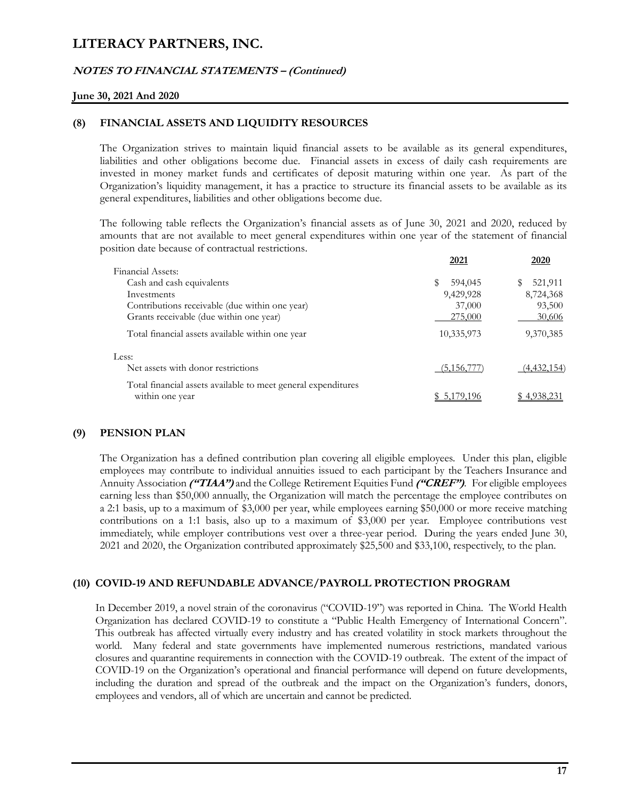## **NOTES TO FINANCIAL STATEMENTS – (Continued)**

#### **June 30, 2021 And 2020**

## **(8) FINANCIAL ASSETS AND LIQUIDITY RESOURCES**

The Organization strives to maintain liquid financial assets to be available as its general expenditures, liabilities and other obligations become due. Financial assets in excess of daily cash requirements are invested in money market funds and certificates of deposit maturing within one year. As part of the Organization's liquidity management, it has a practice to structure its financial assets to be available as its general expenditures, liabilities and other obligations become due.

The following table reflects the Organization's financial assets as of June 30, 2021 and 2020, reduced by amounts that are not available to meet general expenditures within one year of the statement of financial position date because of contractual restrictions.

| 2021          | 2020        |
|---------------|-------------|
|               |             |
| \$<br>594,045 | 521,911     |
| 9,429,928     | 8,724,368   |
| 37,000        | 93,500      |
| 275,000       | 30,606      |
| 10,335,973    | 9,370,385   |
|               |             |
| (5,156,777)   | (4,432,154) |
|               |             |
|               |             |
|               |             |

## **(9) PENSION PLAN**

The Organization has a defined contribution plan covering all eligible employees. Under this plan, eligible employees may contribute to individual annuities issued to each participant by the Teachers Insurance and Annuity Association **("TIAA")** and the College Retirement Equities Fund **("CREF")**. For eligible employees earning less than \$50,000 annually, the Organization will match the percentage the employee contributes on a 2:1 basis, up to a maximum of \$3,000 per year, while employees earning \$50,000 or more receive matching contributions on a 1:1 basis, also up to a maximum of \$3,000 per year. Employee contributions vest immediately, while employer contributions vest over a three-year period. During the years ended June 30, 2021 and 2020, the Organization contributed approximately \$25,500 and \$33,100, respectively, to the plan.

## **(10) COVID-19 AND REFUNDABLE ADVANCE/PAYROLL PROTECTION PROGRAM**

In December 2019, a novel strain of the coronavirus ("COVID-19") was reported in China. The World Health Organization has declared COVID-19 to constitute a "Public Health Emergency of International Concern". This outbreak has affected virtually every industry and has created volatility in stock markets throughout the world. Many federal and state governments have implemented numerous restrictions, mandated various closures and quarantine requirements in connection with the COVID-19 outbreak. The extent of the impact of COVID-19 on the Organization's operational and financial performance will depend on future developments, including the duration and spread of the outbreak and the impact on the Organization's funders, donors, employees and vendors, all of which are uncertain and cannot be predicted.